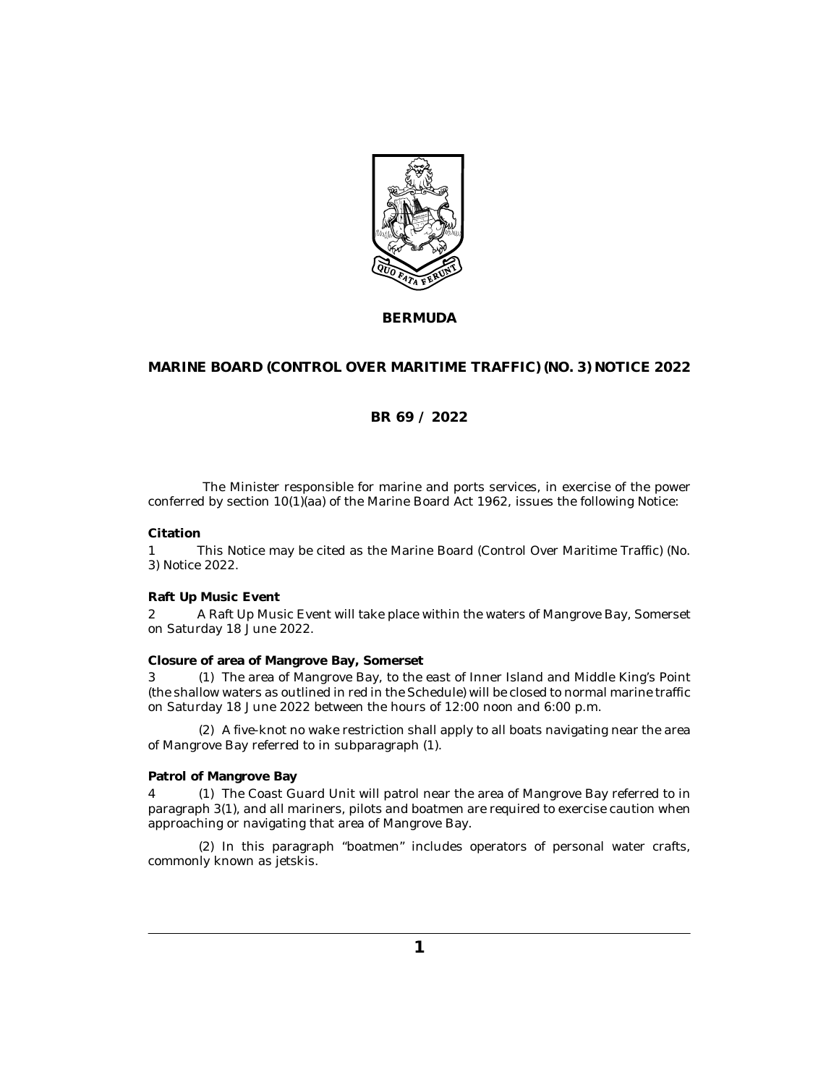

**BERMUDA**

## **MARINE BOARD (CONTROL OVER MARITIME TRAFFIC) (NO. 3) NOTICE 2022**

## **BR 69 / 2022**

The Minister responsible for marine and ports services, in exercise of the power conferred by section 10(1)(aa) of the Marine Board Act 1962, issues the following Notice:

#### **Citation**

This Notice may be cited as the Marine Board (Control Over Maritime Traffic) (No. 3) Notice 2022. 1

### **Raft Up Music Event**

A Raft Up Music Event will take place within the waters of Mangrove Bay, Somerset on Saturday 18 June 2022. 2

#### **Closure of area of Mangrove Bay, Somerset**

3 (1) The area of Mangrove Bay, to the east of Inner Island and Middle King's Point (the shallow waters as outlined in red in the Schedule) will be closed to normal marine traffic on Saturday 18 June 2022 between the hours of 12:00 noon and 6:00 p.m.

A five-knot no wake restriction shall apply to all boats navigating near the area (2) of Mangrove Bay referred to in subparagraph (1).

#### **Patrol of Mangrove Bay**

4 (1) The Coast Guard Unit will patrol near the area of Mangrove Bay referred to in paragraph 3(1), and all mariners, pilots and boatmen are required to exercise caution when approaching or navigating that area of Mangrove Bay.

(2) In this paragraph "boatmen" includes operators of personal water crafts, commonly known as jetskis.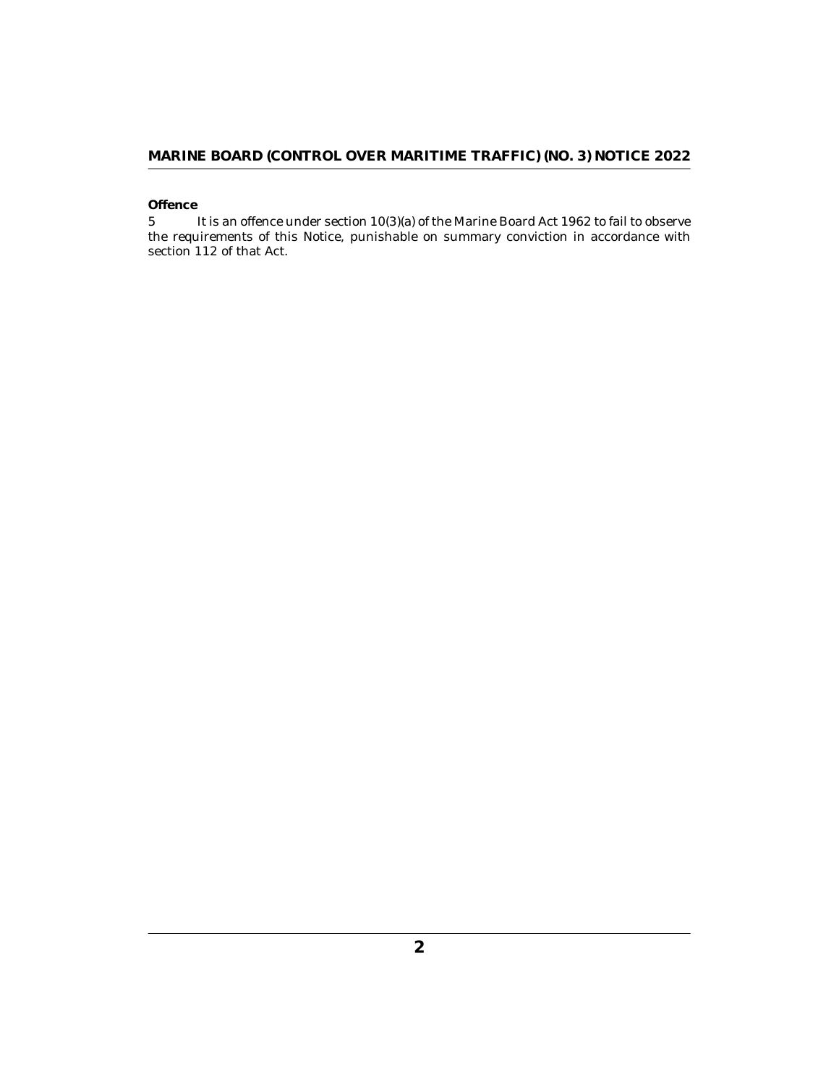## **MARINE BOARD (CONTROL OVER MARITIME TRAFFIC) (NO. 3) NOTICE 2022**

## **Offence**

It is an offence under section 10(3)(a) of the Marine Board Act 1962 to fail to observe the requirements of this Notice, punishable on summary conviction in accordance with section 112 of that Act. 5